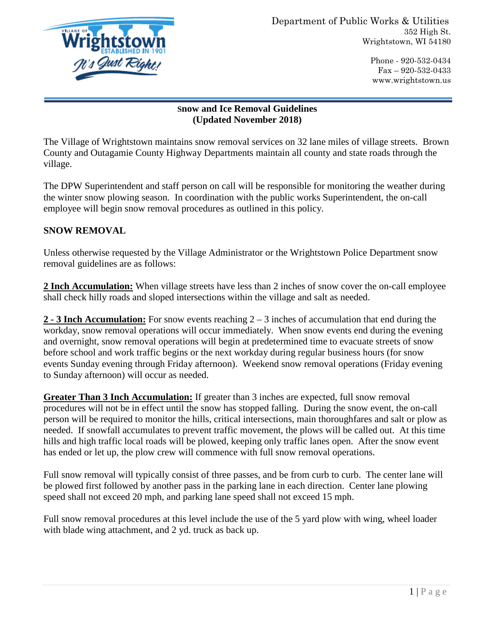

Phone - 920-532-0434 Fax – 920-532-0433 www.wrightstown.us

## **Snow and Ice Removal Guidelines (Updated November 2018)**

The Village of Wrightstown maintains snow removal services on 32 lane miles of village streets. Brown County and Outagamie County Highway Departments maintain all county and state roads through the village.

The DPW Superintendent and staff person on call will be responsible for monitoring the weather during the winter snow plowing season. In coordination with the public works Superintendent, the on-call employee will begin snow removal procedures as outlined in this policy.

## **SNOW REMOVAL**

Unless otherwise requested by the Village Administrator or the Wrightstown Police Department snow removal guidelines are as follows:

**2 Inch Accumulation:** When village streets have less than 2 inches of snow cover the on-call employee shall check hilly roads and sloped intersections within the village and salt as needed.

**2 - 3 Inch Accumulation:** For snow events reaching 2 – 3 inches of accumulation that end during the workday, snow removal operations will occur immediately. When snow events end during the evening and overnight, snow removal operations will begin at predetermined time to evacuate streets of snow before school and work traffic begins or the next workday during regular business hours (for snow events Sunday evening through Friday afternoon). Weekend snow removal operations (Friday evening to Sunday afternoon) will occur as needed.

**Greater Than 3 Inch Accumulation:** If greater than 3 inches are expected, full snow removal procedures will not be in effect until the snow has stopped falling. During the snow event, the on-call person will be required to monitor the hills, critical intersections, main thoroughfares and salt or plow as needed. If snowfall accumulates to prevent traffic movement, the plows will be called out. At this time hills and high traffic local roads will be plowed, keeping only traffic lanes open. After the snow event has ended or let up, the plow crew will commence with full snow removal operations.

Full snow removal will typically consist of three passes, and be from curb to curb. The center lane will be plowed first followed by another pass in the parking lane in each direction. Center lane plowing speed shall not exceed 20 mph, and parking lane speed shall not exceed 15 mph.

Full snow removal procedures at this level include the use of the 5 yard plow with wing, wheel loader with blade wing attachment, and 2 yd. truck as back up.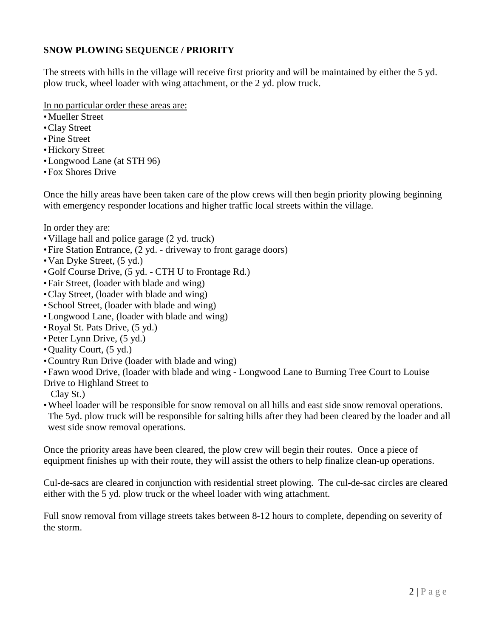## **SNOW PLOWING SEQUENCE / PRIORITY**

The streets with hills in the village will receive first priority and will be maintained by either the 5 yd. plow truck, wheel loader with wing attachment, or the 2 yd. plow truck.

In no particular order these areas are:

- Mueller Street
- Clay Street
- Pine Street
- Hickory Street
- Longwood Lane (at STH 96)
- Fox Shores Drive

Once the hilly areas have been taken care of the plow crews will then begin priority plowing beginning with emergency responder locations and higher traffic local streets within the village.

In order they are:

- Village hall and police garage (2 yd. truck)
- Fire Station Entrance, (2 yd. driveway to front garage doors)
- Van Dyke Street, (5 yd.)
- Golf Course Drive, (5 yd. CTH U to Frontage Rd.)
- Fair Street, (loader with blade and wing)
- Clay Street, (loader with blade and wing)
- School Street, (loader with blade and wing)
- Longwood Lane, (loader with blade and wing)
- Royal St. Pats Drive, (5 yd.)
- Peter Lynn Drive, (5 yd.)
- Quality Court, (5 yd.)
- Country Run Drive (loader with blade and wing)
- Fawn wood Drive, (loader with blade and wing Longwood Lane to Burning Tree Court to Louise
- Drive to Highland Street to

Clay St.)

• Wheel loader will be responsible for snow removal on all hills and east side snow removal operations. The 5yd. plow truck will be responsible for salting hills after they had been cleared by the loader and all west side snow removal operations.

Once the priority areas have been cleared, the plow crew will begin their routes. Once a piece of equipment finishes up with their route, they will assist the others to help finalize clean-up operations.

Cul-de-sacs are cleared in conjunction with residential street plowing. The cul-de-sac circles are cleared either with the 5 yd. plow truck or the wheel loader with wing attachment.

Full snow removal from village streets takes between 8-12 hours to complete, depending on severity of the storm.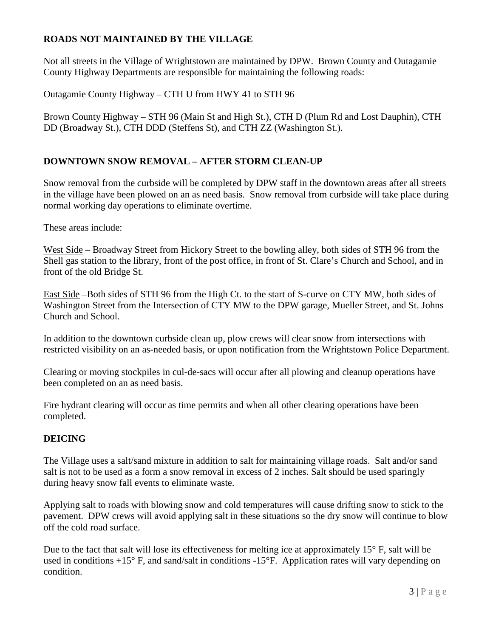## **ROADS NOT MAINTAINED BY THE VILLAGE**

Not all streets in the Village of Wrightstown are maintained by DPW. Brown County and Outagamie County Highway Departments are responsible for maintaining the following roads:

Outagamie County Highway – CTH U from HWY 41 to STH 96

Brown County Highway – STH 96 (Main St and High St.), CTH D (Plum Rd and Lost Dauphin), CTH DD (Broadway St.), CTH DDD (Steffens St), and CTH ZZ (Washington St.).

### **DOWNTOWN SNOW REMOVAL – AFTER STORM CLEAN-UP**

Snow removal from the curbside will be completed by DPW staff in the downtown areas after all streets in the village have been plowed on an as need basis. Snow removal from curbside will take place during normal working day operations to eliminate overtime.

These areas include:

West Side – Broadway Street from Hickory Street to the bowling alley, both sides of STH 96 from the Shell gas station to the library, front of the post office, in front of St. Clare's Church and School, and in front of the old Bridge St.

East Side –Both sides of STH 96 from the High Ct. to the start of S-curve on CTY MW, both sides of Washington Street from the Intersection of CTY MW to the DPW garage, Mueller Street, and St. Johns Church and School.

In addition to the downtown curbside clean up, plow crews will clear snow from intersections with restricted visibility on an as-needed basis, or upon notification from the Wrightstown Police Department.

Clearing or moving stockpiles in cul-de-sacs will occur after all plowing and cleanup operations have been completed on an as need basis.

Fire hydrant clearing will occur as time permits and when all other clearing operations have been completed.

### **DEICING**

The Village uses a salt/sand mixture in addition to salt for maintaining village roads. Salt and/or sand salt is not to be used as a form a snow removal in excess of 2 inches. Salt should be used sparingly during heavy snow fall events to eliminate waste.

Applying salt to roads with blowing snow and cold temperatures will cause drifting snow to stick to the pavement. DPW crews will avoid applying salt in these situations so the dry snow will continue to blow off the cold road surface.

Due to the fact that salt will lose its effectiveness for melting ice at approximately  $15^{\circ}$  F, salt will be used in conditions +15° F, and sand/salt in conditions -15°F. Application rates will vary depending on condition.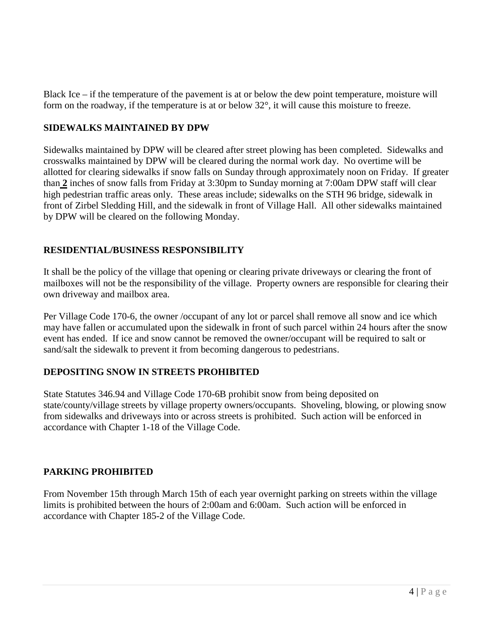Black Ice – if the temperature of the pavement is at or below the dew point temperature, moisture will form on the roadway, if the temperature is at or below 32°, it will cause this moisture to freeze.

### **SIDEWALKS MAINTAINED BY DPW**

Sidewalks maintained by DPW will be cleared after street plowing has been completed. Sidewalks and crosswalks maintained by DPW will be cleared during the normal work day. No overtime will be allotted for clearing sidewalks if snow falls on Sunday through approximately noon on Friday. If greater than **2** inches of snow falls from Friday at 3:30pm to Sunday morning at 7:00am DPW staff will clear high pedestrian traffic areas only. These areas include; sidewalks on the STH 96 bridge, sidewalk in front of Zirbel Sledding Hill, and the sidewalk in front of Village Hall. All other sidewalks maintained by DPW will be cleared on the following Monday.

# **RESIDENTIAL/BUSINESS RESPONSIBILITY**

It shall be the policy of the village that opening or clearing private driveways or clearing the front of mailboxes will not be the responsibility of the village. Property owners are responsible for clearing their own driveway and mailbox area.

Per Village Code 170-6, the owner /occupant of any lot or parcel shall remove all snow and ice which may have fallen or accumulated upon the sidewalk in front of such parcel within 24 hours after the snow event has ended. If ice and snow cannot be removed the owner/occupant will be required to salt or sand/salt the sidewalk to prevent it from becoming dangerous to pedestrians.

### **DEPOSITING SNOW IN STREETS PROHIBITED**

State Statutes 346.94 and Village Code 170-6B prohibit snow from being deposited on state/county/village streets by village property owners/occupants. Shoveling, blowing, or plowing snow from sidewalks and driveways into or across streets is prohibited. Such action will be enforced in accordance with Chapter 1-18 of the Village Code.

### **PARKING PROHIBITED**

From November 15th through March 15th of each year overnight parking on streets within the village limits is prohibited between the hours of 2:00am and 6:00am. Such action will be enforced in accordance with Chapter 185-2 of the Village Code.